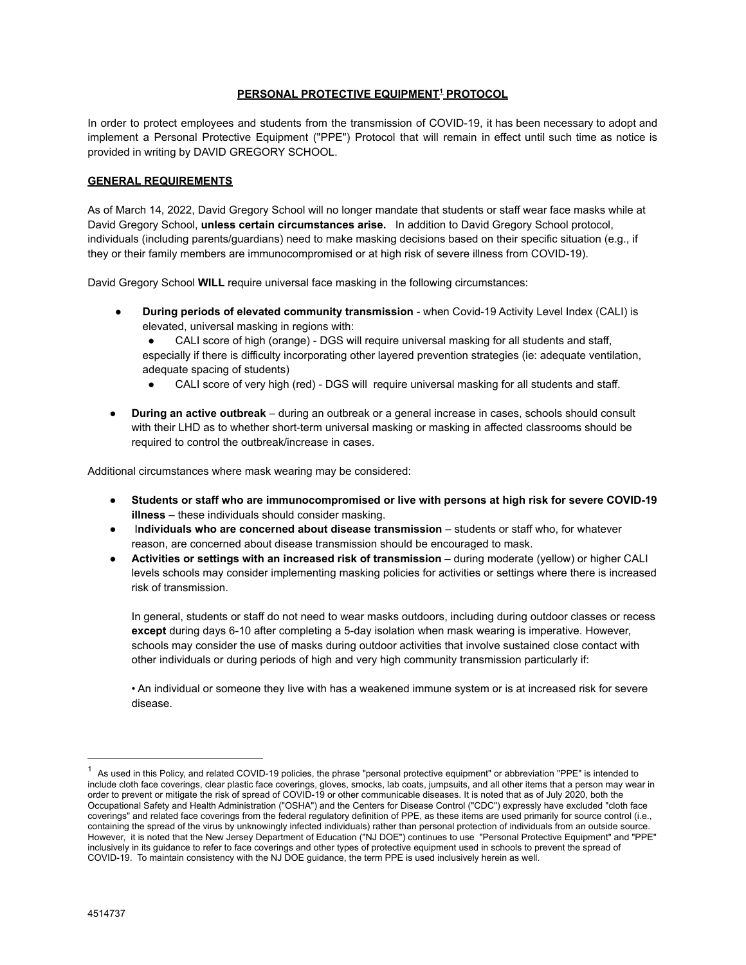# **PERSONAL PROTECTIVE EQUIPMENT<sup>1</sup> PROTOCOL**

In order to protect employees and students from the transmission of COVID-19, it has been necessary to adopt and implement a Personal Protective Equipment ("PPE") Protocol that will remain in effect until such time as notice is provided in writing by DAVID GREGORY SCHOOL.

### **GENERAL REQUIREMENTS**

As of March 14, 2022, David Gregory School will no longer mandate that students or staff wear face masks while at David Gregory School, **unless certain circumstances arise.** In addition to David Gregory School protocol, individuals (including parents/guardians) need to make masking decisions based on their specific situation (e.g., if they or their family members are immunocompromised or at high risk of severe illness from COVID-19).

David Gregory School **WILL** require universal face masking in the following circumstances:

- **During periods of elevated community transmission** when Covid-19 Activity Level Index (CALI) is elevated, universal masking in regions with:
	- CALI score of high (orange) DGS will require universal masking for all students and staff,
	- especially if there is difficulty incorporating other layered prevention strategies (ie: adequate ventilation, adequate spacing of students)
	- CALI score of very high (red) DGS will require universal masking for all students and staff.
- **During an active outbreak** during an outbreak or a general increase in cases, schools should consult with their LHD as to whether short-term universal masking or masking in affected classrooms should be required to control the outbreak/increase in cases.

Additional circumstances where mask wearing may be considered:

- **Students or staff who are immunocompromised or live with persons at high risk for severe COVID-19 illness** – these individuals should consider masking.
- I**ndividuals who are concerned about disease transmission** students or staff who, for whatever reason, are concerned about disease transmission should be encouraged to mask.
- **Activities or settings with an increased risk of transmission** during moderate (yellow) or higher CALI levels schools may consider implementing masking policies for activities or settings where there is increased risk of transmission.

In general, students or staff do not need to wear masks outdoors, including during outdoor classes or recess **except** during days 6-10 after completing a 5-day isolation when mask wearing is imperative. However, schools may consider the use of masks during outdoor activities that involve sustained close contact with other individuals or during periods of high and very high community transmission particularly if:

• An individual or someone they live with has a weakened immune system or is at increased risk for severe disease.

 $1$  As used in this Policy, and related COVID-19 policies, the phrase "personal protective equipment" or abbreviation "PPE" is intended to include cloth face coverings, clear plastic face coverings, gloves, smocks, lab coats, jumpsuits, and all other items that a person may wear in order to prevent or mitigate the risk of spread of COVID-19 or other communicable diseases. It is noted that as of July 2020, both the Occupational Safety and Health Administration ("OSHA") and the Centers for Disease Control ("CDC") expressly have excluded "cloth face coverings" and related face coverings from the federal regulatory definition of PPE, as these items are used primarily for source control (i.e., containing the spread of the virus by unknowingly infected individuals) rather than personal protection of individuals from an outside source. However, it is noted that the New Jersey Department of Education ("NJ DOE") continues to use "Personal Protective Equipment" and "PPE" inclusively in its guidance to refer to face coverings and other types of protective equipment used in schools to prevent the spread of COVID-19. To maintain consistency with the NJ DOE guidance, the term PPE is used inclusively herein as well.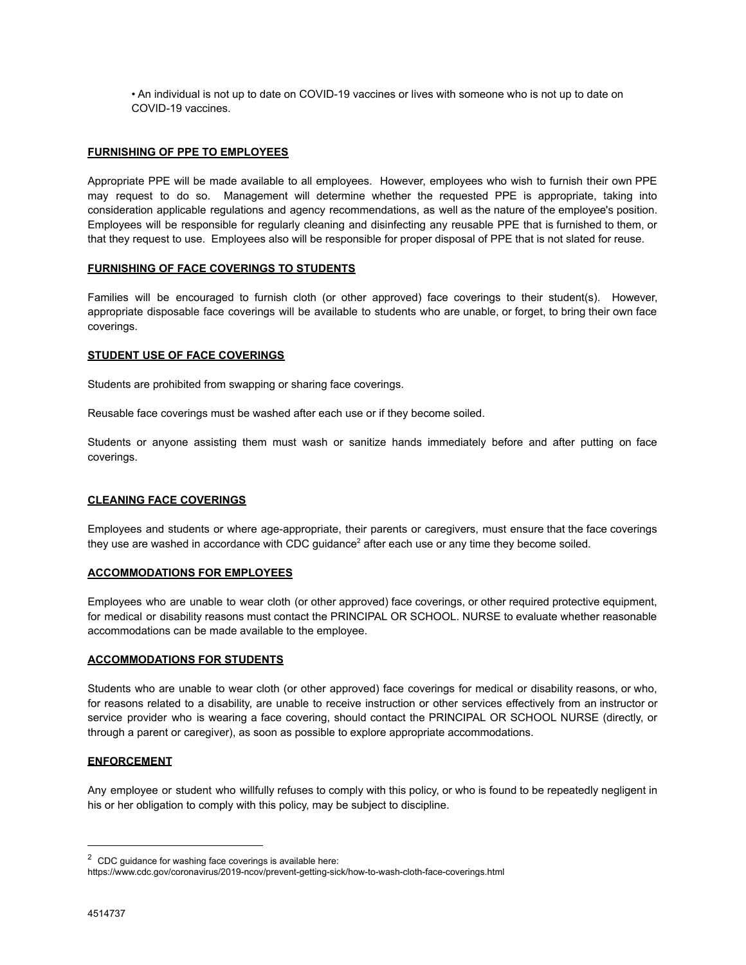• An individual is not up to date on COVID-19 vaccines or lives with someone who is not up to date on COVID-19 vaccines.

### **FURNISHING OF PPE TO EMPLOYEES**

Appropriate PPE will be made available to all employees. However, employees who wish to furnish their own PPE may request to do so. Management will determine whether the requested PPE is appropriate, taking into consideration applicable regulations and agency recommendations, as well as the nature of the employee's position. Employees will be responsible for regularly cleaning and disinfecting any reusable PPE that is furnished to them, or that they request to use. Employees also will be responsible for proper disposal of PPE that is not slated for reuse.

# **FURNISHING OF FACE COVERINGS TO STUDENTS**

Families will be encouraged to furnish cloth (or other approved) face coverings to their student(s). However, appropriate disposable face coverings will be available to students who are unable, or forget, to bring their own face coverings.

### **STUDENT USE OF FACE COVERINGS**

Students are prohibited from swapping or sharing face coverings.

Reusable face coverings must be washed after each use or if they become soiled.

Students or anyone assisting them must wash or sanitize hands immediately before and after putting on face coverings.

# **CLEANING FACE COVERINGS**

Employees and students or where age-appropriate, their parents or caregivers, must ensure that the face coverings they use are washed in accordance with CDC quidance<sup>2</sup> after each use or any time they become soiled.

### **ACCOMMODATIONS FOR EMPLOYEES**

Employees who are unable to wear cloth (or other approved) face coverings, or other required protective equipment, for medical or disability reasons must contact the PRINCIPAL OR SCHOOL. NURSE to evaluate whether reasonable accommodations can be made available to the employee.

### **ACCOMMODATIONS FOR STUDENTS**

Students who are unable to wear cloth (or other approved) face coverings for medical or disability reasons, or who, for reasons related to a disability, are unable to receive instruction or other services effectively from an instructor or service provider who is wearing a face covering, should contact the PRINCIPAL OR SCHOOL NURSE (directly, or through a parent or caregiver), as soon as possible to explore appropriate accommodations.

### **ENFORCEMENT**

Any employee or student who willfully refuses to comply with this policy, or who is found to be repeatedly negligent in his or her obligation to comply with this policy, may be subject to discipline.

 $2$  CDC guidance for washing face coverings is available here:

https://www.cdc.gov/coronavirus/2019-ncov/prevent-getting-sick/how-to-wash-cloth-face-coverings.html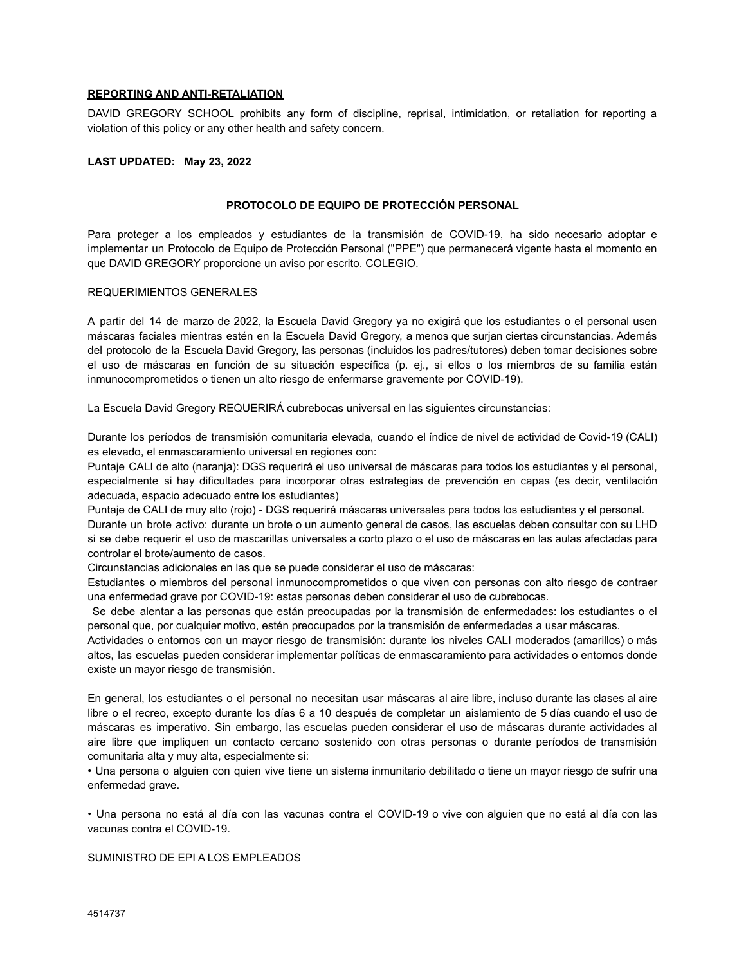# **REPORTING AND ANTI-RETALIATION**

DAVID GREGORY SCHOOL prohibits any form of discipline, reprisal, intimidation, or retaliation for reporting a violation of this policy or any other health and safety concern.

### **LAST UPDATED: May 23, 2022**

#### **PROTOCOLO DE EQUIPO DE PROTECCIÓN PERSONAL**

Para proteger a los empleados y estudiantes de la transmisión de COVID-19, ha sido necesario adoptar e implementar un Protocolo de Equipo de Protección Personal ("PPE") que permanecerá vigente hasta el momento en que DAVID GREGORY proporcione un aviso por escrito. COLEGIO.

#### REQUERIMIENTOS GENERALES

A partir del 14 de marzo de 2022, la Escuela David Gregory ya no exigirá que los estudiantes o el personal usen máscaras faciales mientras estén en la Escuela David Gregory, a menos que surjan ciertas circunstancias. Además del protocolo de la Escuela David Gregory, las personas (incluidos los padres/tutores) deben tomar decisiones sobre el uso de máscaras en función de su situación específica (p. ej., si ellos o los miembros de su familia están inmunocomprometidos o tienen un alto riesgo de enfermarse gravemente por COVID-19).

La Escuela David Gregory REQUERIRÁ cubrebocas universal en las siguientes circunstancias:

Durante los períodos de transmisión comunitaria elevada, cuando el índice de nivel de actividad de Covid-19 (CALI) es elevado, el enmascaramiento universal en regiones con:

Puntaje CALI de alto (naranja): DGS requerirá el uso universal de máscaras para todos los estudiantes y el personal, especialmente si hay dificultades para incorporar otras estrategias de prevención en capas (es decir, ventilación adecuada, espacio adecuado entre los estudiantes)

Puntaje de CALI de muy alto (rojo) - DGS requerirá máscaras universales para todos los estudiantes y el personal.

Durante un brote activo: durante un brote o un aumento general de casos, las escuelas deben consultar con su LHD si se debe requerir el uso de mascarillas universales a corto plazo o el uso de máscaras en las aulas afectadas para controlar el brote/aumento de casos.

Circunstancias adicionales en las que se puede considerar el uso de máscaras:

Estudiantes o miembros del personal inmunocomprometidos o que viven con personas con alto riesgo de contraer una enfermedad grave por COVID-19: estas personas deben considerar el uso de cubrebocas.

Se debe alentar a las personas que están preocupadas por la transmisión de enfermedades: los estudiantes o el personal que, por cualquier motivo, estén preocupados por la transmisión de enfermedades a usar máscaras.

Actividades o entornos con un mayor riesgo de transmisión: durante los niveles CALI moderados (amarillos) o más altos, las escuelas pueden considerar implementar políticas de enmascaramiento para actividades o entornos donde existe un mayor riesgo de transmisión.

En general, los estudiantes o el personal no necesitan usar máscaras al aire libre, incluso durante las clases al aire libre o el recreo, excepto durante los días 6 a 10 después de completar un aislamiento de 5 días cuando el uso de máscaras es imperativo. Sin embargo, las escuelas pueden considerar el uso de máscaras durante actividades al aire libre que impliquen un contacto cercano sostenido con otras personas o durante períodos de transmisión comunitaria alta y muy alta, especialmente si:

• Una persona o alguien con quien vive tiene un sistema inmunitario debilitado o tiene un mayor riesgo de sufrir una enfermedad grave.

• Una persona no está al día con las vacunas contra el COVID-19 o vive con alguien que no está al día con las vacunas contra el COVID-19.

SUMINISTRO DE EPI A LOS EMPLEADOS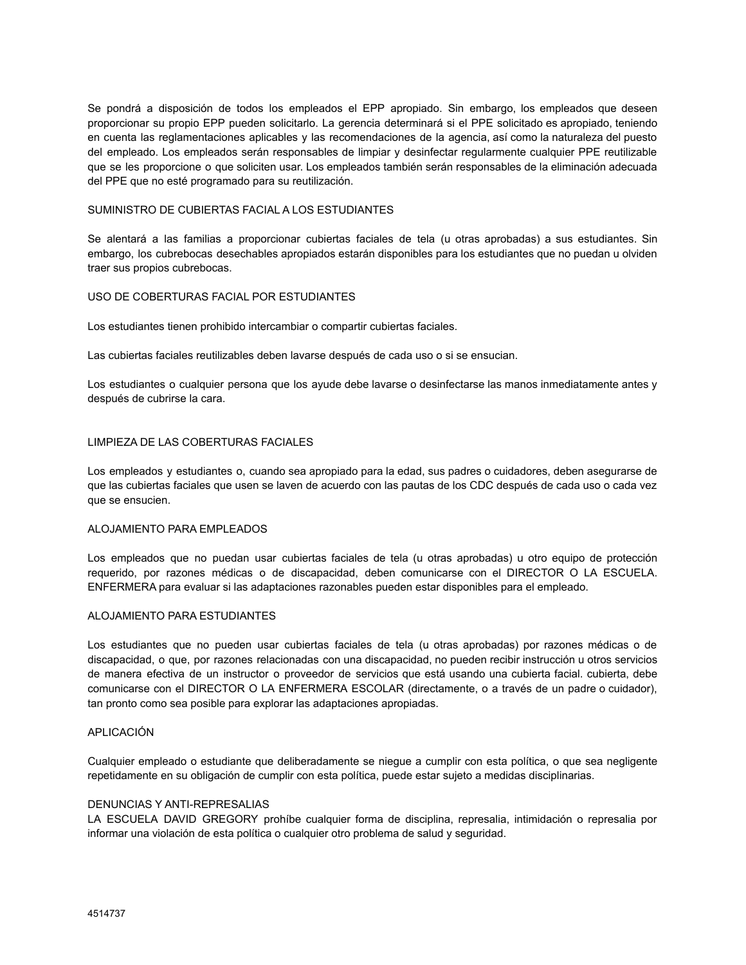Se pondrá a disposición de todos los empleados el EPP apropiado. Sin embargo, los empleados que deseen proporcionar su propio EPP pueden solicitarlo. La gerencia determinará si el PPE solicitado es apropiado, teniendo en cuenta las reglamentaciones aplicables y las recomendaciones de la agencia, así como la naturaleza del puesto del empleado. Los empleados serán responsables de limpiar y desinfectar regularmente cualquier PPE reutilizable que se les proporcione o que soliciten usar. Los empleados también serán responsables de la eliminación adecuada del PPE que no esté programado para su reutilización.

### SUMINISTRO DE CUBIERTAS FACIAL A LOS ESTUDIANTES

Se alentará a las familias a proporcionar cubiertas faciales de tela (u otras aprobadas) a sus estudiantes. Sin embargo, los cubrebocas desechables apropiados estarán disponibles para los estudiantes que no puedan u olviden traer sus propios cubrebocas.

### USO DE COBERTURAS FACIAL POR ESTUDIANTES

Los estudiantes tienen prohibido intercambiar o compartir cubiertas faciales.

Las cubiertas faciales reutilizables deben lavarse después de cada uso o si se ensucian.

Los estudiantes o cualquier persona que los ayude debe lavarse o desinfectarse las manos inmediatamente antes y después de cubrirse la cara.

### LIMPIEZA DE LAS COBERTURAS FACIALES

Los empleados y estudiantes o, cuando sea apropiado para la edad, sus padres o cuidadores, deben asegurarse de que las cubiertas faciales que usen se laven de acuerdo con las pautas de los CDC después de cada uso o cada vez que se ensucien.

### ALOJAMIENTO PARA EMPLEADOS

Los empleados que no puedan usar cubiertas faciales de tela (u otras aprobadas) u otro equipo de protección requerido, por razones médicas o de discapacidad, deben comunicarse con el DIRECTOR O LA ESCUELA. ENFERMERA para evaluar si las adaptaciones razonables pueden estar disponibles para el empleado.

### ALOJAMIENTO PARA ESTUDIANTES

Los estudiantes que no pueden usar cubiertas faciales de tela (u otras aprobadas) por razones médicas o de discapacidad, o que, por razones relacionadas con una discapacidad, no pueden recibir instrucción u otros servicios de manera efectiva de un instructor o proveedor de servicios que está usando una cubierta facial. cubierta, debe comunicarse con el DIRECTOR O LA ENFERMERA ESCOLAR (directamente, o a través de un padre o cuidador), tan pronto como sea posible para explorar las adaptaciones apropiadas.

### APLICACIÓN

Cualquier empleado o estudiante que deliberadamente se niegue a cumplir con esta política, o que sea negligente repetidamente en su obligación de cumplir con esta política, puede estar sujeto a medidas disciplinarias.

#### DENUNCIAS Y ANTI-REPRESALIAS

LA ESCUELA DAVID GREGORY prohíbe cualquier forma de disciplina, represalia, intimidación o represalia por informar una violación de esta política o cualquier otro problema de salud y seguridad.